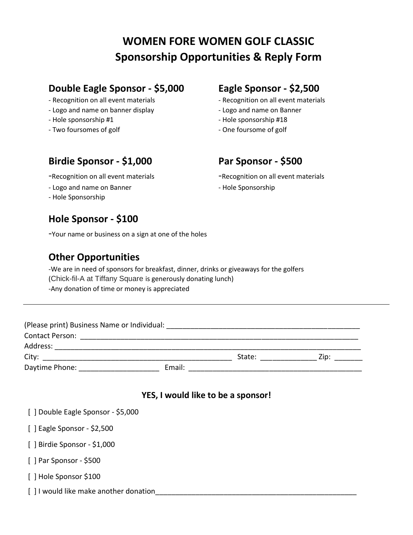# **WOMEN FORE WOMEN GOLF CLASSIC Sponsorship Opportunities & Reply Form**

## **Double Eagle Sponsor - \$5,000 Eagle Sponsor - \$2,500**

- Recognition on all event materials Recognition on all event materials
- Logo and name on banner display Logo and name on Banner
- 
- Two foursomes of golf  $\overline{\phantom{a}}$  One foursome of golf

- 
- 
- Hole sponsorship #1  $-$  Hole sponsorship #18
	-

# **Birdie Sponsor - \$1,000 Par Sponsor - \$500**

- Logo and name on Banner Hole Sponsorship
- Hole Sponsorship

### **Hole Sponsor - \$100**

-Your name or business on a sign at one of the holes

### **Other Opportunities**

-We are in need of sponsors for breakfast, dinner, drinks or giveaways for the golfers (Chick-fil-A at Tiffany Square is generously donating lunch) -Any donation of time or money is appreciated

| (Please print) Business Name or Individual: |        |        |      |
|---------------------------------------------|--------|--------|------|
| <b>Contact Person:</b>                      |        |        |      |
| Address:                                    |        |        |      |
| City:                                       |        | State: | Zip: |
| Daytime Phone:                              | Email: |        |      |

#### **YES, I would like to be a sponsor!**

- [ ] Double Eagle Sponsor \$5,000
- [ ] Eagle Sponsor \$2,500
- [ ] Birdie Sponsor \$1,000
- [ ] Par Sponsor \$500
- [ ] Hole Sponsor \$100
- [ ] I would like make another donation

-Recognition on all event materials - Recognition on all event materials